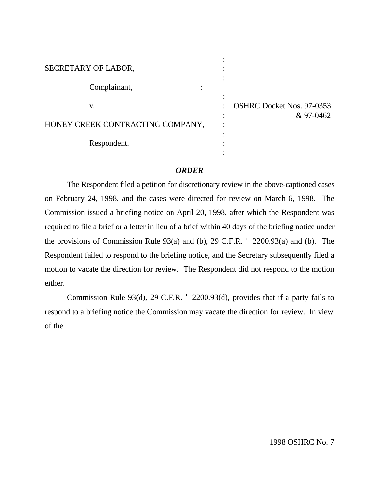| SECRETARY OF LABOR,              |                                  |
|----------------------------------|----------------------------------|
|                                  |                                  |
| Complainant,                     |                                  |
|                                  |                                  |
| v.                               | <b>OSHRC Docket Nos. 97-0353</b> |
|                                  | & 97-0462                        |
| HONEY CREEK CONTRACTING COMPANY, |                                  |
|                                  |                                  |
| Respondent.                      |                                  |
|                                  |                                  |

## *ORDER*

The Respondent filed a petition for discretionary review in the above-captioned cases on February 24, 1998, and the cases were directed for review on March 6, 1998. The Commission issued a briefing notice on April 20, 1998, after which the Respondent was required to file a brief or a letter in lieu of a brief within 40 days of the briefing notice under the provisions of Commission Rule 93(a) and (b), 29 C.F.R. ' 2200.93(a) and (b). The Respondent failed to respond to the briefing notice, and the Secretary subsequently filed a motion to vacate the direction for review. The Respondent did not respond to the motion either.

Commission Rule 93(d), 29 C.F.R. ' 2200.93(d), provides that if a party fails to respond to a briefing notice the Commission may vacate the direction for review. In view of the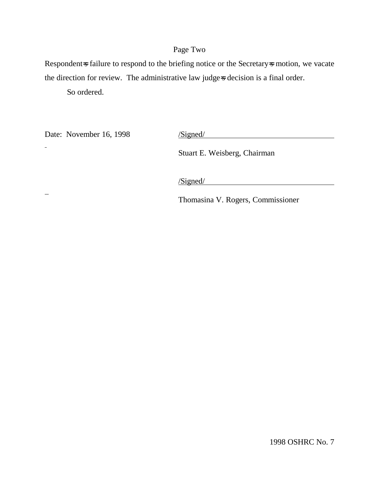# Page Two

Respondent=s failure to respond to the briefing notice or the Secretary=s motion, we vacate the direction for review. The administrative law judge=s decision is a final order.

So ordered.

Date: November 16, 1998 /Signed/

 $\ddot{ }$ 

Stuart E. Weisberg, Chairman

/Signed/

Thomasina V. Rogers, Commissioner

1998 OSHRC No. 7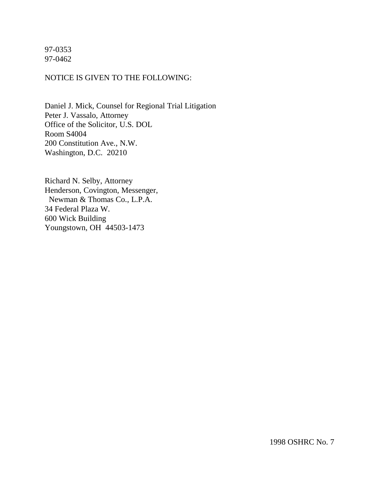## 97-0353 97-0462

## NOTICE IS GIVEN TO THE FOLLOWING:

Daniel J. Mick, Counsel for Regional Trial Litigation Peter J. Vassalo, Attorney Office of the Solicitor, U.S. DOL Room S4004 200 Constitution Ave., N.W. Washington, D.C. 20210

Richard N. Selby, Attorney Henderson, Covington, Messenger, Newman & Thomas Co., L.P.A. 34 Federal Plaza W. 600 Wick Building Youngstown, OH 44503-1473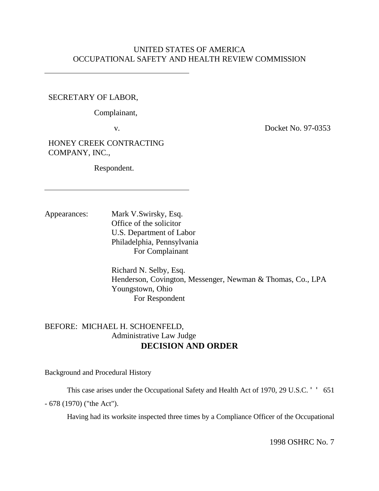## UNITED STATES OF AMERICA OCCUPATIONAL SAFETY AND HEALTH REVIEW COMMISSION

## SECRETARY OF LABOR,

Complainant,

v. Docket No. 97-0353

HONEY CREEK CONTRACTING COMPANY, INC.,

Respondent.

Appearances: Mark V.Swirsky, Esq. Office of the solicitor U.S. Department of Labor Philadelphia, Pennsylvania For Complainant

> Richard N. Selby, Esq. Henderson, Covington, Messenger, Newman & Thomas, Co., LPA Youngstown, Ohio For Respondent

# BEFORE: MICHAEL H. SCHOENFELD, Administrative Law Judge **DECISION AND ORDER**

Background and Procedural History

This case arises under the Occupational Safety and Health Act of 1970, 29 U.S.C. ' ' 651

- 678 (1970) ("the Act").

Having had its worksite inspected three times by a Compliance Officer of the Occupational

1998 OSHRC No. 7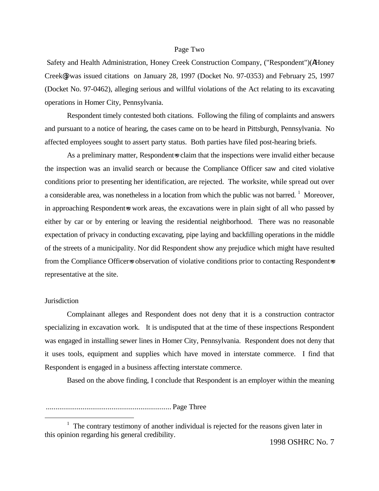#### Page Two

 Safety and Health Administration, Honey Creek Construction Company, ("Respondent")(AHoney Creek@) was issued citations on January 28, 1997 (Docket No. 97-0353) and February 25, 1997 (Docket No. 97-0462), alleging serious and willful violations of the Act relating to its excavating operations in Homer City, Pennsylvania.

Respondent timely contested both citations. Following the filing of complaints and answers and pursuant to a notice of hearing, the cases came on to be heard in Pittsburgh, Pennsylvania. No affected employees sought to assert party status. Both parties have filed post-hearing briefs.

As a preliminary matter, Respondent is claim that the inspections were invalid either because the inspection was an invalid search or because the Compliance Officer saw and cited violative conditions prior to presenting her identification, are rejected. The worksite, while spread out over a considerable area, was nonetheless in a location from which the public was not barred.<sup>1</sup> Moreover, in approaching Respondent=s work areas, the excavations were in plain sight of all who passed by either by car or by entering or leaving the residential neighborhood. There was no reasonable expectation of privacy in conducting excavating, pipe laying and backfilling operations in the middle of the streets of a municipality. Nor did Respondent show any prejudice which might have resulted from the Compliance Officer=s observation of violative conditions prior to contacting Respondent=s representative at the site.

#### **Jurisdiction**

1

Complainant alleges and Respondent does not deny that it is a construction contractor specializing in excavation work. It is undisputed that at the time of these inspections Respondent was engaged in installing sewer lines in Homer City, Pennsylvania. Respondent does not deny that it uses tools, equipment and supplies which have moved in interstate commerce. I find that Respondent is engaged in a business affecting interstate commerce.

Based on the above finding, I conclude that Respondent is an employer within the meaning

................................................................. Page Three

 $1$  The contrary testimony of another individual is rejected for the reasons given later in this opinion regarding his general credibility.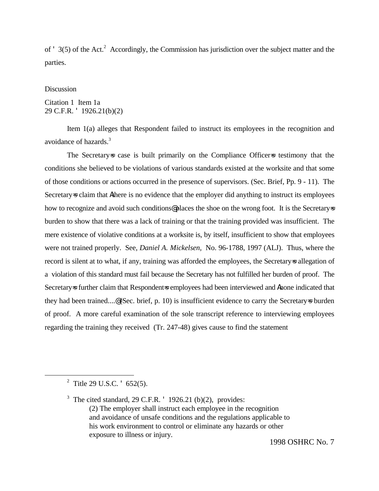of ' 3(5) of the Act.<sup>2</sup> Accordingly, the Commission has jurisdiction over the subject matter and the parties.

#### Discussion

## Citation 1 Item 1a 29 C.F.R. ' 1926.21(b)(2)

Item 1(a) alleges that Respondent failed to instruct its employees in the recognition and avoidance of hazards.<sup>3</sup>

The Secretary=s case is built primarily on the Compliance Officer=s testimony that the conditions she believed to be violations of various standards existed at the worksite and that some of those conditions or actions occurred in the presence of supervisors. (Sec. Brief, Pp. 9 - 11). The Secretary=s claim that Athere is no evidence that the employer did anything to instruct its employees how to recognize and avoid such conditions places the shoe on the wrong foot. It is the Secretary  $\approx$ burden to show that there was a lack of training or that the training provided was insufficient. The mere existence of violative conditions at a worksite is, by itself, insufficient to show that employees were not trained properly. See, *Daniel A. Mickelsen,* No. 96-1788, 1997 (ALJ). Thus, where the record is silent at to what, if any, training was afforded the employees, the Secretary=s allegation of a violation of this standard must fail because the Secretary has not fulfilled her burden of proof. The Secretary=s further claim that Respondent=s employees had been interviewed and Anone indicated that they had been trained....@ (Sec. brief, p. 10) is insufficient evidence to carry the Secretary=s burden of proof. A more careful examination of the sole transcript reference to interviewing employees regarding the training they received (Tr. 247-48) gives cause to find the statement

1

1998 OSHRC No. 7

<sup>&</sup>lt;sup>2</sup> Title 29 U.S.C.  $\cdot$  652(5).

<sup>&</sup>lt;sup>3</sup> The cited standard, 29 C.F.R.  $'$  1926.21 (b)(2), provides: (2) The employer shall instruct each employee in the recognition and avoidance of unsafe conditions and the regulations applicable to his work environment to control or eliminate any hazards or other exposure to illness or injury.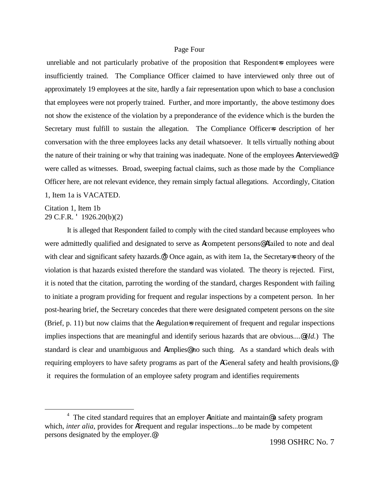#### Page Four

unreliable and not particularly probative of the proposition that Respondent=s employees were insufficiently trained. The Compliance Officer claimed to have interviewed only three out of approximately 19 employees at the site, hardly a fair representation upon which to base a conclusion that employees were not properly trained. Further, and more importantly, the above testimony does not show the existence of the violation by a preponderance of the evidence which is the burden the Secretary must fulfill to sustain the allegation. The Compliance Officers description of her conversation with the three employees lacks any detail whatsoever. It tells virtually nothing about the nature of their training or why that training was inadequate. None of the employees Ainterviewed@ were called as witnesses. Broad, sweeping factual claims, such as those made by the Compliance Officer here, are not relevant evidence, they remain simply factual allegations. Accordingly, Citation 1, Item 1a is VACATED.

Citation 1, Item 1b 29 C.F.R. ' 1926.20(b)(2)

1

It is alleged that Respondent failed to comply with the cited standard because employees who were admittedly qualified and designated to serve as Acompetent persons@ Afailed to note and deal with clear and significant safety hazards. $\mathcal{Q}^4$  Once again, as with item 1a, the Secretary=s theory of the violation is that hazards existed therefore the standard was violated. The theory is rejected. First, it is noted that the citation, parroting the wording of the standard, charges Respondent with failing to initiate a program providing for frequent and regular inspections by a competent person. In her post-hearing brief, the Secretary concedes that there were designated competent persons on the site (Brief, p. 11) but now claims that the Aregulation-s requirement of frequent and regular inspections implies inspections that are meaningful and identify serious hazards that are obvious....@ (*Id.*) The standard is clear and unambiguous and Aimplies<sup>@</sup> no such thing. As a standard which deals with requiring employers to have safety programs as part of the AGeneral safety and health provisions,@ it requires the formulation of an employee safety program and identifies requirements

<sup>&</sup>lt;sup>4</sup> The cited standard requires that an employer *A*initiate and maintain@a safety program which, *inter alia*, provides for Afrequent and regular inspections...to be made by competent persons designated by the employer.@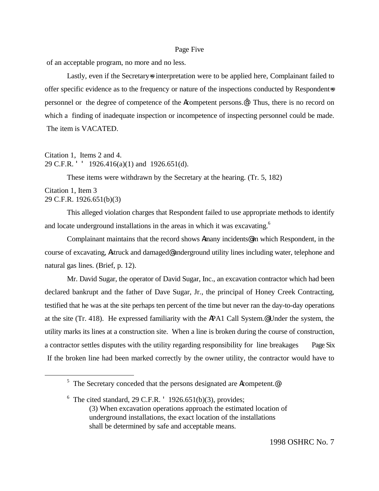#### Page Five

of an acceptable program, no more and no less.

Lastly, even if the Secretary-s interpretation were to be applied here, Complainant failed to offer specific evidence as to the frequency or nature of the inspections conducted by Respondent=s personnel or the degree of competence of the **A**competent persons. $\mathbf{e}^5$  Thus, there is no record on which a finding of inadequate inspection or incompetence of inspecting personnel could be made. The item is VACATED.

## Citation 1, Items 2 and 4. 29 C.F.R. ' ' 1926.416(a)(1) and 1926.651(d).

These items were withdrawn by the Secretary at the hearing. (Tr. 5, 182)

#### Citation 1, Item 3 29 C.F.R. 1926.651(b)(3)

1

This alleged violation charges that Respondent failed to use appropriate methods to identify and locate underground installations in the areas in which it was excavating.<sup>6</sup>

Complainant maintains that the record shows Amany incidents@ in which Respondent, in the course of excavating, Astruck and damaged@ underground utility lines including water, telephone and natural gas lines. (Brief, p. 12).

Mr. David Sugar, the operator of David Sugar, Inc., an excavation contractor which had been declared bankrupt and the father of Dave Sugar, Jr., the principal of Honey Creek Contracting, testified that he was at the site perhaps ten percent of the time but never ran the day-to-day operations at the site (Tr. 418). He expressed familiarity with the APA1 Call System.@ Under the system, the utility marks its lines at a construction site. When a line is broken during the course of construction, a contractor settles disputes with the utility regarding responsibility for line breakages Page Six If the broken line had been marked correctly by the owner utility, the contractor would have to

 $5$  The Secretary conceded that the persons designated are Acompetent.

 $6$  The cited standard, 29 C.F.R.  $'$  1926.651(b)(3), provides; (3) When excavation operations approach the estimated location of underground installations, the exact location of the installations shall be determined by safe and acceptable means.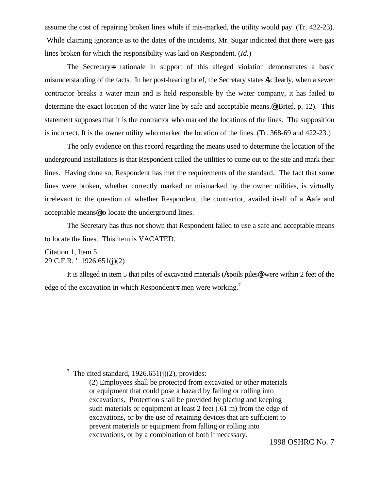assume the cost of repairing broken lines while if mis-marked, the utility would pay. (Tr. 422-23). While claiming ignorance as to the dates of the incidents, Mr. Sugar indicated that there were gas lines broken for which the responsibility was laid on Respondent. (*Id.*)

The Secretary=s rationale in support of this alleged violation demonstrates a basic misunderstanding of the facts. In her post-hearing brief, the Secretary states A[c]learly, when a sewer contractor breaks a water main and is held responsible by the water company, it has failed to determine the exact location of the water line by safe and acceptable means.@ (Brief, p. 12). This statement supposes that it is the contractor who marked the locations of the lines. The supposition is incorrect. It is the owner utility who marked the location of the lines. (Tr. 368-69 and 422-23.)

The only evidence on this record regarding the means used to determine the location of the underground installations is that Respondent called the utilities to come out to the site and mark their lines. Having done so, Respondent has met the requirements of the standard. The fact that some lines were broken, whether correctly marked or mismarked by the owner utilities, is virtually irrelevant to the question of whether Respondent, the contractor, availed itself of a Asafe and acceptable means@ to locate the underground lines.

The Secretary has thus not shown that Respondent failed to use a safe and acceptable means to locate the lines. This item is VACATED.

## Citation 1, Item 5 29 C.F.R. ' 1926.651(j)(2)

<u>.</u>

It is alleged in item 5 that piles of excavated materials (Aspoils piles@) were within 2 feet of the edge of the excavation in which Respondent-s men were working.<sup>7</sup>

<sup>&</sup>lt;sup>7</sup> The cited standard, 1926.651(j)(2), provides:

<sup>(2)</sup> Employees shall be protected from excavated or other materials or equipment that could pose a hazard by falling or rolling into excavations. Protection shall be provided by placing and keeping such materials or equipment at least 2 feet (.61 m) from the edge of excavations, or by the use of retaining devices that are sufficient to prevent materials or equipment from falling or rolling into excavations, or by a combination of both if necessary.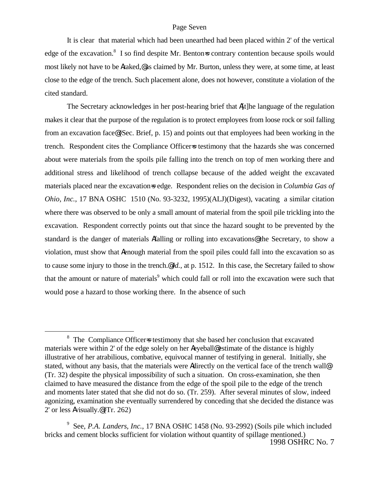It is clear that material which had been unearthed had been placed within 2' of the vertical edge of the excavation.<sup>8</sup> I so find despite Mr. Benton=s contrary contention because spoils would most likely not have to be Araked,@ as claimed by Mr. Burton, unless they were, at some time, at least close to the edge of the trench. Such placement alone, does not however, constitute a violation of the cited standard.

The Secretary acknowledges in her post-hearing brief that A[t]he language of the regulation makes it clear that the purpose of the regulation is to protect employees from loose rock or soil falling from an excavation face@ (Sec. Brief, p. 15) and points out that employees had been working in the trench. Respondent cites the Compliance Officer=s testimony that the hazards she was concerned about were materials from the spoils pile falling into the trench on top of men working there and additional stress and likelihood of trench collapse because of the added weight the excavated materials placed near the excavation=s edge. Respondent relies on the decision in *Columbia Gas of Ohio, Inc.*, 17 BNA OSHC 1510 (No. 93-3232, 1995)(ALJ)(Digest), vacating a similar citation where there was observed to be only a small amount of material from the spoil pile trickling into the excavation. Respondent correctly points out that since the hazard sought to be prevented by the standard is the danger of materials Afalling or rolling into excavations<sup>®</sup> the Secretary, to show a violation, must show that Aenough material from the spoil piles could fall into the excavation so as to cause some injury to those in the trench.@ *Id.*, at p. 1512. In this case, the Secretary failed to show that the amount or nature of materials<sup>9</sup> which could fall or roll into the excavation were such that would pose a hazard to those working there. In the absence of such

1

<sup>&</sup>lt;sup>8</sup> The Compliance Officer=s testimony that she based her conclusion that excavated materials were within 2' of the edge solely on her Aeyeball@ estimate of the distance is highly illustrative of her atrabilious, combative, equivocal manner of testifying in general. Initially, she stated, without any basis, that the materials were Adirectly on the vertical face of the trench wall (Tr. 32) despite the physical impossibility of such a situation. On cross-examination, she then claimed to have measured the distance from the edge of the spoil pile to the edge of the trench and moments later stated that she did not do so. (Tr. 259). After several minutes of slow, indeed agonizing, examination she eventually surrendered by conceding that she decided the distance was 2' or less Avisually.@ (Tr. 262)

<sup>1998</sup> OSHRC No. 7 9 See, *P.A. Landers, Inc.*, 17 BNA OSHC 1458 (No. 93-2992) (Soils pile which included bricks and cement blocks sufficient for violation without quantity of spillage mentioned.)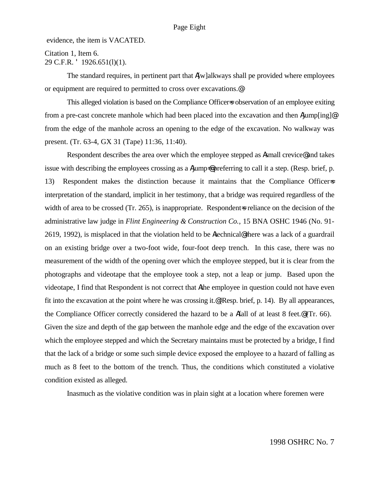evidence, the item is VACATED.

## Citation 1, Item 6. 29 C.F.R. ' 1926.651(l)(1).

The standard requires, in pertinent part that  $\Lambda[w]$ alkways shall pe provided where employees or equipment are required to permitted to cross over excavations.@

This alleged violation is based on the Compliance Officers observation of an employee exiting from a pre-cast concrete manhole which had been placed into the excavation and then Ajump[ing]@ from the edge of the manhole across an opening to the edge of the excavation. No walkway was present. (Tr. 63-4, GX 31 (Tape) 11:36, 11:40).

Respondent describes the area over which the employee stepped as Asmall crevice@ and takes issue with describing the employees crossing as a  $A_j$  imp=@ preferring to call it a step. (Resp. brief, p. 13) Respondent makes the distinction because it maintains that the Compliance Officer=s interpretation of the standard, implicit in her testimony, that a bridge was required regardless of the width of area to be crossed (Tr. 265), is inappropriate. Respondent-s reliance on the decision of the administrative law judge in *Flint Engineering & Construction Co.*, 15 BNA OSHC 1946 (No. 91- 2619, 1992), is misplaced in that the violation held to be Atechnical@ there was a lack of a guardrail on an existing bridge over a two-foot wide, four-foot deep trench. In this case, there was no measurement of the width of the opening over which the employee stepped, but it is clear from the photographs and videotape that the employee took a step, not a leap or jump. Based upon the videotape, I find that Respondent is not correct that Athe employee in question could not have even fit into the excavation at the point where he was crossing it.@ (Resp. brief, p. 14). By all appearances, the Compliance Officer correctly considered the hazard to be a Afall of at least 8 feet.@ (Tr. 66). Given the size and depth of the gap between the manhole edge and the edge of the excavation over which the employee stepped and which the Secretary maintains must be protected by a bridge, I find that the lack of a bridge or some such simple device exposed the employee to a hazard of falling as much as 8 feet to the bottom of the trench. Thus, the conditions which constituted a violative condition existed as alleged.

Inasmuch as the violative condition was in plain sight at a location where foremen were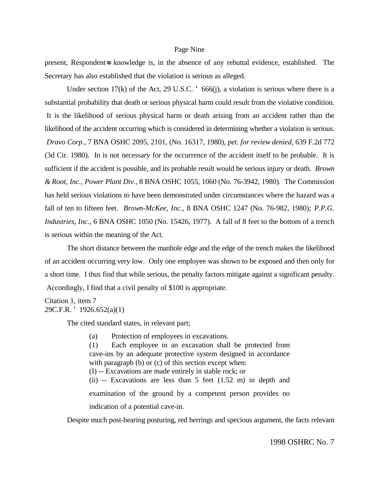#### Page Nine

present, Respondent=s knowledge is, in the absence of any rebuttal evidence, established. The Secretary has also established that the violation is serious as alleged.

Under section 17(k) of the Act, 29 U.S.C.  $\cdot$  666(j), a violation is serious where there is a substantial probability that death or serious physical harm could result from the violative condition. It is the likelihood of serious physical harm or death arising from an accident rather than the likelihood of the accident occurring which is considered in determining whether a violation is serious. *Dravo Corp.,* 7 BNA OSHC 2095, 2101, (No. 16317, 1980), *pet. for review denied,* 639 F.2d 772 (3d Cir. 1980). In is not necessary for the occurrence of the accident itself to be probable. It is sufficient if the accident is possible, and its probable result would be serious injury or death. *Brown & Root, Inc., Power Plant Div.,* 8 BNA OSHC 1055, 1060 (No. 76-3942, 1980). The Commission has held serious violations to have been demonstrated under circumstances where the hazard was a fall of ten to fifteen feet. *Brown-McKee, Inc.,* 8 BNA OSHC 1247 (No. 76-982, 1980); *P.P.G. Industries, Inc.,* 6 BNA OSHC 1050 (No. 15426, 1977). A fall of 8 feet to the bottom of a trench is serious within the meaning of the Act.

The short distance between the manhole edge and the edge of the trench makes the likelihood of an accident occurring very low. Only one employee was shown to be exposed and then only for a short time. I thus find that while serious, the penalty factors mitigate against a significant penalty. Accordingly, I find that a civil penalty of \$100 is appropriate.

```
Citation 1, item 7
29C.F.R. ' 1926.652(a)(1)
```
The cited standard states, in relevant part;

(a) Protection of employees in excavations.

(1) Each employee in an excavation shall be protected from cave-ins by an adequate protective system designed in accordance with paragraph (b) or (c) of this section except when: (I) -- Excavations are made entirely in stable rock; or

(ii) -- Excavations are less than 5 feet (1.52 m) in depth and examination of the ground by a competent person provides no indication of a potential cave-in.

Despite much post-hearing posturing, red herrings and specious argument, the facts relevant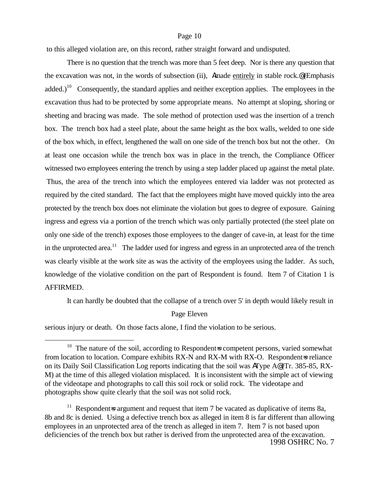#### Page 10

to this alleged violation are, on this record, rather straight forward and undisputed.

There is no question that the trench was more than 5 feet deep. Nor is there any question that the excavation was not, in the words of subsection (ii), Amade entirely in stable rock.@ (Emphasis added.)<sup>10</sup> Consequently, the standard applies and neither exception applies. The employees in the excavation thus had to be protected by some appropriate means. No attempt at sloping, shoring or sheeting and bracing was made. The sole method of protection used was the insertion of a trench box. The trench box had a steel plate, about the same height as the box walls, welded to one side of the box which, in effect, lengthened the wall on one side of the trench box but not the other. On at least one occasion while the trench box was in place in the trench, the Compliance Officer witnessed two employees entering the trench by using a step ladder placed up against the metal plate. Thus, the area of the trench into which the employees entered via ladder was not protected as required by the cited standard. The fact that the employees might have moved quickly into the area protected by the trench box does not eliminate the violation but goes to degree of exposure. Gaining ingress and egress via a portion of the trench which was only partially protected (the steel plate on only one side of the trench) exposes those employees to the danger of cave-in, at least for the time in the unprotected area.<sup>11</sup> The ladder used for ingress and egress in an unprotected area of the trench was clearly visible at the work site as was the activity of the employees using the ladder. As such, knowledge of the violative condition on the part of Respondent is found. Item 7 of Citation 1 is AFFIRMED.

It can hardly be doubted that the collapse of a trench over 5' in depth would likely result in

#### Page Eleven

serious injury or death. On those facts alone, I find the violation to be serious.

1

 $10$  The nature of the soil, according to Respondent=s competent persons, varied somewhat from location to location. Compare exhibits RX-N and RX-M with RX-O. Respondent-s reliance on its Daily Soil Classification Log reports indicating that the soil was AType A@ (Tr. 385-85, RX-M) at the time of this alleged violation misplaced. It is inconsistent with the simple act of viewing of the videotape and photographs to call this soil rock or solid rock. The videotape and photographs show quite clearly that the soil was not solid rock.

<sup>1998</sup> OSHRC No. 7 <sup>11</sup> Respondent=s argument and request that item 7 be vacated as duplicative of items 8a, 8b and 8c is denied. Using a defective trench box as alleged in item 8 is far different than allowing employees in an unprotected area of the trench as alleged in item 7. Item 7 is not based upon deficiencies of the trench box but rather is derived from the unprotected area of the excavation.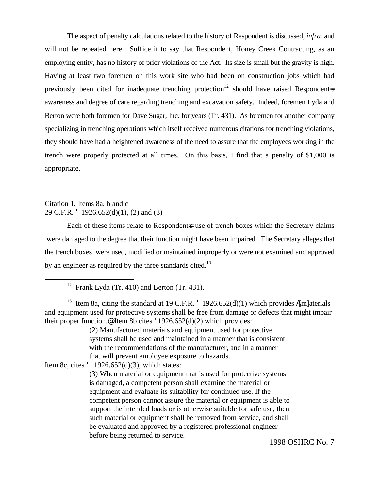The aspect of penalty calculations related to the history of Respondent is discussed, *infra*. and will not be repeated here. Suffice it to say that Respondent, Honey Creek Contracting, as an employing entity, has no history of prior violations of the Act. Its size is small but the gravity is high. Having at least two foremen on this work site who had been on construction jobs which had previously been cited for inadequate trenching protection<sup>12</sup> should have raised Respondent=s awareness and degree of care regarding trenching and excavation safety. Indeed, foremen Lyda and Berton were both foremen for Dave Sugar, Inc. for years (Tr. 431). As foremen for another company specializing in trenching operations which itself received numerous citations for trenching violations, they should have had a heightened awareness of the need to assure that the employees working in the trench were properly protected at all times. On this basis, I find that a penalty of \$1,000 is appropriate.

## Citation 1, Items 8a, b and c 29 C.F.R. ' 1926.652(d)(1), (2) and (3)

<u>.</u>

Each of these items relate to Respondent is use of trench boxes which the Secretary claims were damaged to the degree that their function might have been impaired. The Secretary alleges that the trench boxes were used, modified or maintained improperly or were not examined and approved by an engineer as required by the three standards cited.<sup>13</sup>

<sup>13</sup> Item 8a, citing the standard at 19 C.F.R. ' 1926.652(d)(1) which provides A[m]aterials and equipment used for protective systems shall be free from damage or defects that might impair their proper function.<sup>@</sup> Item 8b cites  $'1926.652(d)(2)$  which provides:

> (2) Manufactured materials and equipment used for protective systems shall be used and maintained in a manner that is consistent with the recommendations of the manufacturer, and in a manner that will prevent employee exposure to hazards.

Item 8c, cites  $'$  1926.652(d)(3), which states:

(3) When material or equipment that is used for protective systems is damaged, a competent person shall examine the material or equipment and evaluate its suitability for continued use. If the competent person cannot assure the material or equipment is able to support the intended loads or is otherwise suitable for safe use, then such material or equipment shall be removed from service, and shall be evaluated and approved by a registered professional engineer before being returned to service.

<sup>&</sup>lt;sup>12</sup> Frank Lyda (Tr. 410) and Berton (Tr. 431).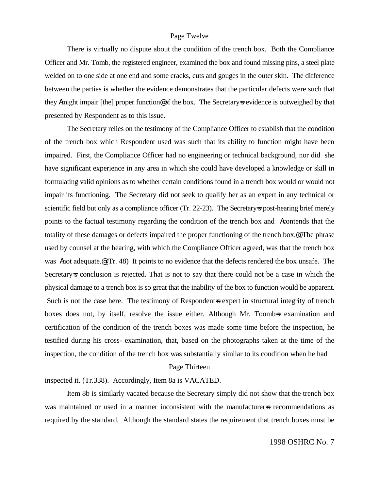#### Page Twelve

There is virtually no dispute about the condition of the trench box. Both the Compliance Officer and Mr. Tomb, the registered engineer, examined the box and found missing pins, a steel plate welded on to one side at one end and some cracks, cuts and gouges in the outer skin. The difference between the parties is whether the evidence demonstrates that the particular defects were such that they Amight impair [the] proper function@ of the box. The Secretary=s evidence is outweighed by that presented by Respondent as to this issue.

The Secretary relies on the testimony of the Compliance Officer to establish that the condition of the trench box which Respondent used was such that its ability to function might have been impaired. First, the Compliance Officer had no engineering or technical background, nor did she have significant experience in any area in which she could have developed a knowledge or skill in formulating valid opinions as to whether certain conditions found in a trench box would or would not impair its functioning. The Secretary did not seek to qualify her as an expert in any technical or scientific field but only as a compliance officer (Tr. 22-23). The Secretary as post-hearing brief merely points to the factual testimony regarding the condition of the trench box and Acontends that the totality of these damages or defects impaired the proper functioning of the trench box.@ The phrase used by counsel at the hearing, with which the Compliance Officer agreed, was that the trench box was Anot adequate. (Tr. 48) It points to no evidence that the defects rendered the box unsafe. The Secretary=s conclusion is rejected. That is not to say that there could not be a case in which the physical damage to a trench box is so great that the inability of the box to function would be apparent. Such is not the case here. The testimony of Respondent-s expert in structural integrity of trench boxes does not, by itself, resolve the issue either. Although Mr. Toomb=s examination and certification of the condition of the trench boxes was made some time before the inspection, he testified during his cross- examination, that, based on the photographs taken at the time of the inspection, the condition of the trench box was substantially similar to its condition when he had

#### Page Thirteen

inspected it. (Tr.338). Accordingly, Item 8a is VACATED.

Item 8b is similarly vacated because the Secretary simply did not show that the trench box was maintained or used in a manner inconsistent with the manufacturer is recommendations as required by the standard. Although the standard states the requirement that trench boxes must be

#### 1998 OSHRC No. 7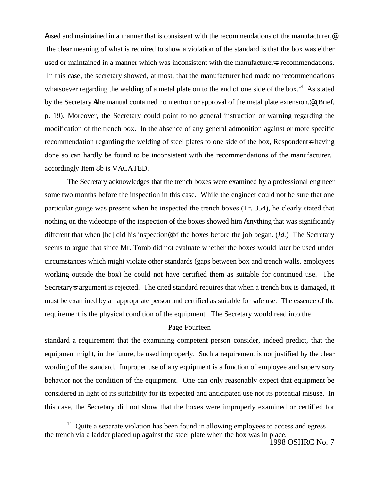Aused and maintained in a manner that is consistent with the recommendations of the manufacturer,@ the clear meaning of what is required to show a violation of the standard is that the box was either used or maintained in a manner which was inconsistent with the manufacturer=s recommendations. In this case, the secretary showed, at most, that the manufacturer had made no recommendations whatsoever regarding the welding of a metal plate on to the end of one side of the box.<sup>14</sup> As stated by the Secretary Athe manual contained no mention or approval of the metal plate extension.<sup>@</sup> (Brief, p. 19). Moreover, the Secretary could point to no general instruction or warning regarding the modification of the trench box. In the absence of any general admonition against or more specific recommendation regarding the welding of steel plates to one side of the box, Respondent-s having done so can hardly be found to be inconsistent with the recommendations of the manufacturer. accordingly Item 8b is VACATED.

The Secretary acknowledges that the trench boxes were examined by a professional engineer some two months before the inspection in this case. While the engineer could not be sure that one particular gouge was present when he inspected the trench boxes (Tr. 354), he clearly stated that nothing on the videotape of the inspection of the boxes showed him Aanything that was significantly different that when [he] did his inspection@ of the boxes before the job began. (*Id.*) The Secretary seems to argue that since Mr. Tomb did not evaluate whether the boxes would later be used under circumstances which might violate other standards (gaps between box and trench walls, employees working outside the box) he could not have certified them as suitable for continued use. The Secretary=s argument is rejected. The cited standard requires that when a trench box is damaged, it must be examined by an appropriate person and certified as suitable for safe use. The essence of the requirement is the physical condition of the equipment. The Secretary would read into the

#### Page Fourteen

standard a requirement that the examining competent person consider, indeed predict, that the equipment might, in the future, be used improperly. Such a requirement is not justified by the clear wording of the standard. Improper use of any equipment is a function of employee and supervisory behavior not the condition of the equipment. One can only reasonably expect that equipment be considered in light of its suitability for its expected and anticipated use not its potential misuse. In this case, the Secretary did not show that the boxes were improperly examined or certified for

1

<sup>&</sup>lt;sup>14</sup> Quite a separate violation has been found in allowing employees to access and egress the trench via a ladder placed up against the steel plate when the box was in place.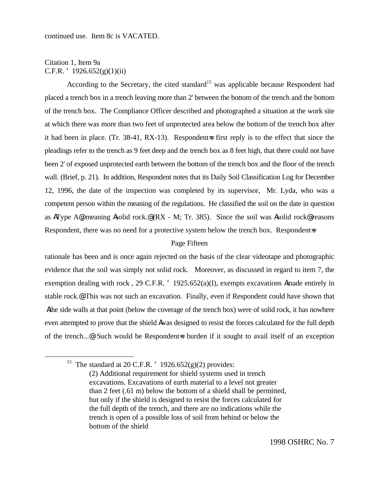## Citation 1, Item 9a C.F.R.  $'$  1926.652(g)(1)(ii)

<u>.</u>

According to the Secretary, the cited standard<sup>15</sup> was applicable because Respondent had placed a trench box in a trench leaving more than 2' between the bottom of the trench and the bottom of the trench box. The Compliance Officer described and photographed a situation at the work site at which there was more than two feet of unprotected area below the bottom of the trench box after it had been in place. (Tr. 38-41, RX-13). Respondent is first reply is to the effect that since the pleadings refer to the trench as 9 feet deep and the trench box as 8 feet high, that there could not have been 2' of exposed unprotected earth between the bottom of the trench box and the floor of the trench wall. (Brief, p. 21). In addition, Respondent notes that its Daily Soil Classification Log for December 12, 1996, the date of the inspection was completed by its supervisor, Mr. Lyda, who was a competent person within the meaning of the regulations. He classified the soil on the date in question as AType A@, meaning Asolid rock.@ (RX - M; Tr. 385). Since the soil was Asolid rock@ reasons Respondent, there was no need for a protective system below the trench box. Respondent=s

## Page Fifteen

rationale has been and is once again rejected on the basis of the clear videotape and photographic evidence that the soil was simply not solid rock. Moreover, as discussed in regard to item 7, the exemption dealing with rock , 29 C.F.R. ' 1925.652(a)(I), exempts excavations Amade entirely in stable rock.@ This was not such an excavation. Finally, even if Respondent could have shown that Athe side walls at that point (below the coverage of the trench box) were of solid rock, it has nowhere even attempted to prove that the shield Awas designed to resist the forces calculated for the full depth of the trench...@ Such would be Respondent=s burden if it sought to avail itself of an exception

<sup>&</sup>lt;sup>15</sup> The standard at 20 C.F.R.  $\cdot$  1926.652(g)(2) provides:

<sup>(2)</sup> Additional requirement for shield systems used in trench excavations. Excavations of earth material to a level not greater than 2 feet (.61 m) below the bottom of a shield shall be permitted, but only if the shield is designed to resist the forces calculated for the full depth of the trench, and there are no indications while the trench is open of a possible loss of soil from behind or below the bottom of the shield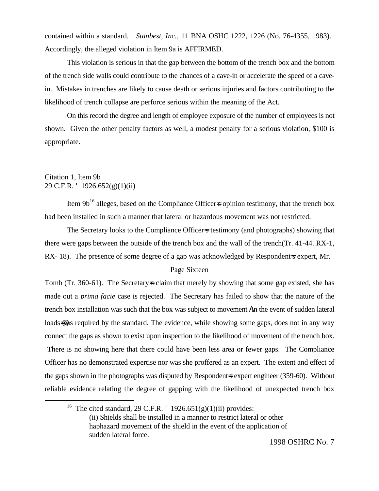contained within a standard. *Stanbest, Inc.*, 11 BNA OSHC 1222, 1226 (No. 76-4355, 1983). Accordingly, the alleged violation in Item 9a is AFFIRMED.

This violation is serious in that the gap between the bottom of the trench box and the bottom of the trench side walls could contribute to the chances of a cave-in or accelerate the speed of a cavein. Mistakes in trenches are likely to cause death or serious injuries and factors contributing to the likelihood of trench collapse are perforce serious within the meaning of the Act.

On this record the degree and length of employee exposure of the number of employees is not shown. Given the other penalty factors as well, a modest penalty for a serious violation, \$100 is appropriate.

## Citation 1, Item 9b 29 C.F.R. ' 1926.652(g)(1)(ii)

<u>.</u>

Item  $9b^{16}$  alleges, based on the Compliance Officers opinion testimony, that the trench box had been installed in such a manner that lateral or hazardous movement was not restricted.

The Secretary looks to the Compliance Officer=s testimony (and photographs) showing that there were gaps between the outside of the trench box and the wall of the trench(Tr. 41-44. RX-1, RX- 18). The presence of some degree of a gap was acknowledged by Respondent=s expert, Mr.

## Page Sixteen

Tomb (Tr. 360-61). The Secretary=s claim that merely by showing that some gap existed, she has made out a *prima facie* case is rejected. The Secretary has failed to show that the nature of the trench box installation was such that the box was subject to movement Ain the event of sudden lateral loads=@ as required by the standard. The evidence, while showing some gaps, does not in any way connect the gaps as shown to exist upon inspection to the likelihood of movement of the trench box.

 There is no showing here that there could have been less area or fewer gaps. The Compliance Officer has no demonstrated expertise nor was she proffered as an expert. The extent and effect of the gaps shown in the photographs was disputed by Respondent-s expert engineer (359-60). Without reliable evidence relating the degree of gapping with the likelihood of unexpected trench box

<sup>&</sup>lt;sup>16</sup> The cited standard, 29 C.F.R. '  $1926.651(g)(1)(ii)$  provides: (ii) Shields shall be installed in a manner to restrict lateral or other haphazard movement of the shield in the event of the application of sudden lateral force.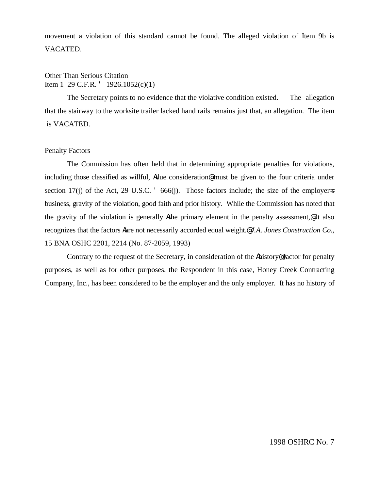movement a violation of this standard cannot be found. The alleged violation of Item 9b is VACATED.

# Other Than Serious Citation Item 1 29 C.F.R. ' 1926.1052(c)(1)

The Secretary points to no evidence that the violative condition existed. The allegation that the stairway to the worksite trailer lacked hand rails remains just that, an allegation. The item is VACATED.

#### Penalty Factors

The Commission has often held that in determining appropriate penalties for violations, including those classified as willful, Adue consideration@ must be given to the four criteria under section 17(j) of the Act, 29 U.S.C.  $\cdot$  666(j). Those factors include; the size of the employers business, gravity of the violation, good faith and prior history. While the Commission has noted that the gravity of the violation is generally Athe primary element in the penalty assessment,<sup>@</sup> it also recognizes that the factors Aare not necessarily accorded equal weight.@ *J.A. Jones Construction Co.,* 15 BNA OSHC 2201, 2214 (No. 87-2059, 1993)

Contrary to the request of the Secretary, in consideration of the Ahistory@ factor for penalty purposes, as well as for other purposes, the Respondent in this case, Honey Creek Contracting Company, Inc., has been considered to be the employer and the only employer. It has no history of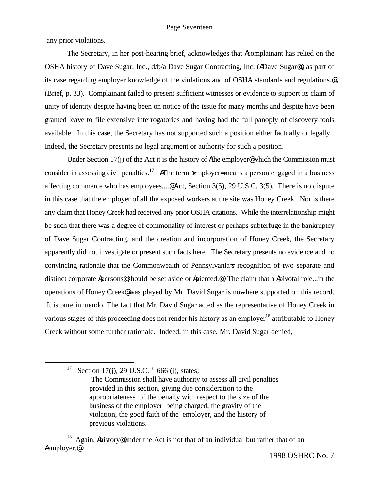any prior violations.

The Secretary, in her post-hearing brief, acknowledges that Acomplainant has relied on the OSHA history of Dave Sugar, Inc., d/b/a Dave Sugar Contracting, Inc. (ADave Sugar@), as part of its case regarding employer knowledge of the violations and of OSHA standards and regulations.@ (Brief, p. 33). Complainant failed to present sufficient witnesses or evidence to support its claim of unity of identity despite having been on notice of the issue for many months and despite have been granted leave to file extensive interrogatories and having had the full panoply of discovery tools available. In this case, the Secretary has not supported such a position either factually or legally. Indeed, the Secretary presents no legal argument or authority for such a position.

Under Section 17(j) of the Act it is the history of Athe employer@ which the Commission must consider in assessing civil penalties.<sup>17</sup> AThe term xemployer= means a person engaged in a business affecting commerce who has employees....@ Act, Section 3(5), 29 U.S.C. 3(5). There is no dispute in this case that the employer of all the exposed workers at the site was Honey Creek. Nor is there any claim that Honey Creek had received any prior OSHA citations. While the interrelationship might be such that there was a degree of commonality of interest or perhaps subterfuge in the bankruptcy of Dave Sugar Contracting, and the creation and incorporation of Honey Creek, the Secretary apparently did not investigate or present such facts here. The Secretary presents no evidence and no convincing rationale that the Commonwealth of Pennsylvania=s recognition of two separate and distinct corporate Apersons@ should be set aside or Apierced.@ The claim that a Apivotal role...in the operations of Honey Creek@ was played by Mr. David Sugar is nowhere supported on this record. It is pure innuendo. The fact that Mr. David Sugar acted as the representative of Honey Creek in various stages of this proceeding does not render his history as an employer<sup>18</sup> attributable to Honey Creek without some further rationale. Indeed, in this case, Mr. David Sugar denied,

<sup>17</sup> Section 17(j), 29 U.S.C.  $\degree$  666 (j), states;

1

<sup>18</sup> Again, Ahistory@under the Act is not that of an individual but rather that of an Aemployer.@

The Commission shall have authority to assess all civil penalties provided in this section, giving due consideration to the appropriateness of the penalty with respect to the size of the business of the employer being charged, the gravity of the violation, the good faith of the employer, and the history of previous violations.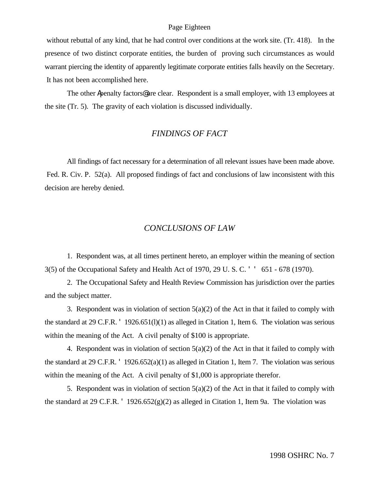#### Page Eighteen

 without rebuttal of any kind, that he had control over conditions at the work site. (Tr. 418). In the presence of two distinct corporate entities, the burden of proving such circumstances as would warrant piercing the identity of apparently legitimate corporate entities falls heavily on the Secretary. It has not been accomplished here.

The other Apenalty factors<sup>@</sup> are clear. Respondent is a small employer, with 13 employees at the site (Tr. 5). The gravity of each violation is discussed individually.

## *FINDINGS OF FACT*

All findings of fact necessary for a determination of all relevant issues have been made above. Fed. R. Civ. P. 52(a). All proposed findings of fact and conclusions of law inconsistent with this decision are hereby denied.

#### *CONCLUSIONS OF LAW*

1. Respondent was, at all times pertinent hereto, an employer within the meaning of section 3(5) of the Occupational Safety and Health Act of 1970, 29 U. S. C. ' ' 651 - 678 (1970).

2. The Occupational Safety and Health Review Commission has jurisdiction over the parties and the subject matter.

3. Respondent was in violation of section  $5(a)(2)$  of the Act in that it failed to comply with the standard at 29 C.F.R. ' 1926.651(l)(1) as alleged in Citation 1, Item 6. The violation was serious within the meaning of the Act. A civil penalty of \$100 is appropriate.

4. Respondent was in violation of section  $5(a)(2)$  of the Act in that it failed to comply with the standard at 29 C.F.R. ' 1926.652(a)(1) as alleged in Citation 1, Item 7. The violation was serious within the meaning of the Act. A civil penalty of \$1,000 is appropriate therefor.

5. Respondent was in violation of section  $5(a)(2)$  of the Act in that it failed to comply with the standard at 29 C.F.R.  $^{\prime}$  1926.652(g)(2) as alleged in Citation 1, Item 9a. The violation was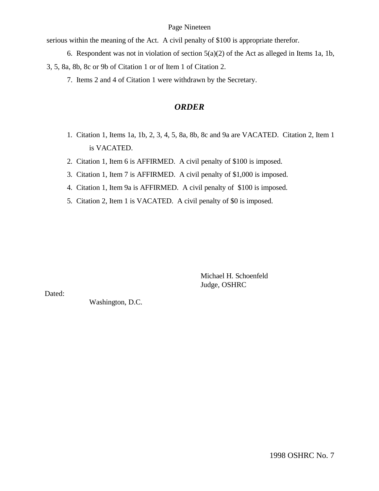#### Page Nineteen

serious within the meaning of the Act. A civil penalty of \$100 is appropriate therefor.

- 6. Respondent was not in violation of section 5(a)(2) of the Act as alleged in Items 1a, 1b, 3, 5, 8a, 8b, 8c or 9b of Citation 1 or of Item 1 of Citation 2.
	- 7. Items 2 and 4 of Citation 1 were withdrawn by the Secretary.

# *ORDER*

- 1. Citation 1, Items 1a, 1b, 2, 3, 4, 5, 8a, 8b, 8c and 9a are VACATED. Citation 2, Item 1 is VACATED.
- 2. Citation 1, Item 6 is AFFIRMED. A civil penalty of \$100 is imposed.
- 3. Citation 1, Item 7 is AFFIRMED. A civil penalty of \$1,000 is imposed.
- 4. Citation 1, Item 9a is AFFIRMED. A civil penalty of \$100 is imposed.
- 5. Citation 2, Item 1 is VACATED. A civil penalty of \$0 is imposed.

Michael H. Schoenfeld Judge, OSHRC

Dated:

Washington, D.C.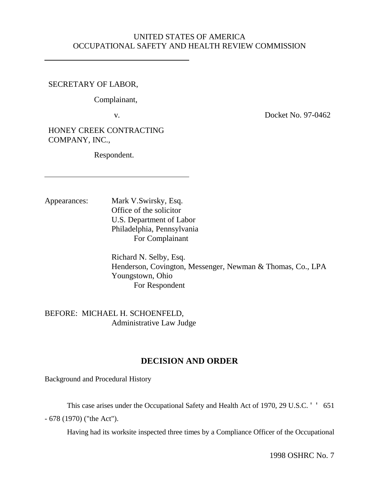# UNITED STATES OF AMERICA OCCUPATIONAL SAFETY AND HEALTH REVIEW COMMISSION

## SECRETARY OF LABOR,

Complainant,

v. Docket No. 97-0462

HONEY CREEK CONTRACTING COMPANY, INC.,

Respondent.

Appearances: Mark V.Swirsky, Esq. Office of the solicitor U.S. Department of Labor Philadelphia, Pennsylvania For Complainant

> Richard N. Selby, Esq. Henderson, Covington, Messenger, Newman & Thomas, Co., LPA Youngstown, Ohio For Respondent

BEFORE: MICHAEL H. SCHOENFELD, Administrative Law Judge

# **DECISION AND ORDER**

Background and Procedural History

This case arises under the Occupational Safety and Health Act of 1970, 29 U.S.C. ' ' 651

- 678 (1970) ("the Act").

Having had its worksite inspected three times by a Compliance Officer of the Occupational

1998 OSHRC No. 7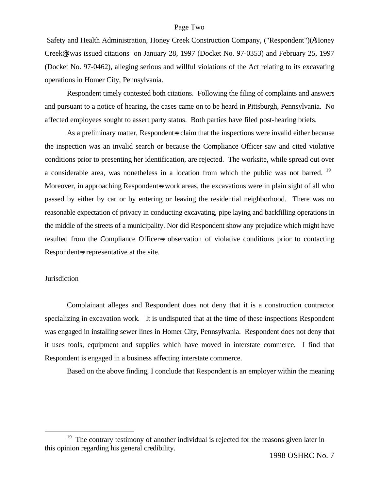#### Page Two

 Safety and Health Administration, Honey Creek Construction Company, ("Respondent")(AHoney Creek@) was issued citations on January 28, 1997 (Docket No. 97-0353) and February 25, 1997 (Docket No. 97-0462), alleging serious and willful violations of the Act relating to its excavating operations in Homer City, Pennsylvania.

Respondent timely contested both citations. Following the filing of complaints and answers and pursuant to a notice of hearing, the cases came on to be heard in Pittsburgh, Pennsylvania. No affected employees sought to assert party status. Both parties have filed post-hearing briefs.

As a preliminary matter, Respondent-s claim that the inspections were invalid either because the inspection was an invalid search or because the Compliance Officer saw and cited violative conditions prior to presenting her identification, are rejected. The worksite, while spread out over a considerable area, was nonetheless in a location from which the public was not barred. <sup>19</sup> Moreover, in approaching Respondent=s work areas, the excavations were in plain sight of all who passed by either by car or by entering or leaving the residential neighborhood. There was no reasonable expectation of privacy in conducting excavating, pipe laying and backfilling operations in the middle of the streets of a municipality. Nor did Respondent show any prejudice which might have resulted from the Compliance Officers observation of violative conditions prior to contacting Respondent is representative at the site.

#### **Jurisdiction**

<u>.</u>

Complainant alleges and Respondent does not deny that it is a construction contractor specializing in excavation work. It is undisputed that at the time of these inspections Respondent was engaged in installing sewer lines in Homer City, Pennsylvania. Respondent does not deny that it uses tools, equipment and supplies which have moved in interstate commerce. I find that Respondent is engaged in a business affecting interstate commerce.

Based on the above finding, I conclude that Respondent is an employer within the meaning

<sup>&</sup>lt;sup>19</sup> The contrary testimony of another individual is rejected for the reasons given later in this opinion regarding his general credibility.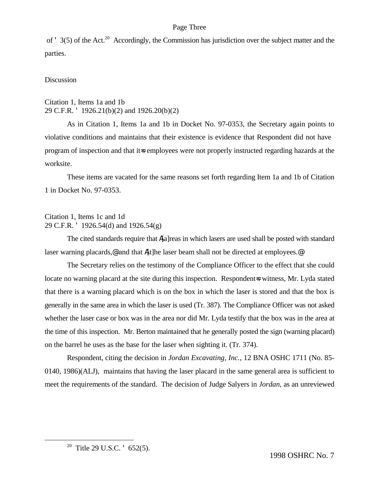#### Page Three

of ' 3(5) of the Act.<sup>20</sup> Accordingly, the Commission has jurisdiction over the subject matter and the parties.

#### **Discussion**

## Citation 1, Items 1a and 1b 29 C.F.R. ' 1926.21(b)(2) and 1926.20(b)(2)

As in Citation 1, Items 1a and 1b in Docket No. 97-0353, the Secretary again points to violative conditions and maintains that their existence is evidence that Respondent did not have program of inspection and that it=s employees were not properly instructed regarding hazards at the worksite.

These items are vacated for the same reasons set forth regarding Item 1a and 1b of Citation 1 in Docket No. 97-0353.

## Citation 1, Items 1c and 1d 29 C.F.R. ' 1926.54(d) and 1926.54(g)

The cited standards require that A[a]reas in which lasers are used shall be posted with standard laser warning placards,  $\circ$  and that A[t]he laser beam shall not be directed at employees.  $\circ$ 

The Secretary relies on the testimony of the Compliance Officer to the effect that she could locate no warning placard at the site during this inspection. Respondent=s witness, Mr. Lyda stated that there is a warning placard which is on the box in which the laser is stored and that the box is generally in the same area in which the laser is used (Tr. 387). The Compliance Officer was not asked whether the laser case or box was in the area nor did Mr. Lyda testify that the box was in the area at the time of this inspection. Mr. Berton maintained that he generally posted the sign (warning placard) on the barrel he uses as the base for the laser when sighting it. (Tr. 374).

Respondent, citing the decision in *Jordan Excavating, Inc.,* 12 BNA OSHC 1711 (No. 85- 0140, 1986)(ALJ), maintains that having the laser placard in the same general area is sufficient to meet the requirements of the standard. The decision of Judge Salyers in *Jordan*, as an unreviewed

<u>.</u>

1998 OSHRC No. 7

<sup>&</sup>lt;sup>20</sup> Title 29 U.S.C.  $\cdot$  652(5).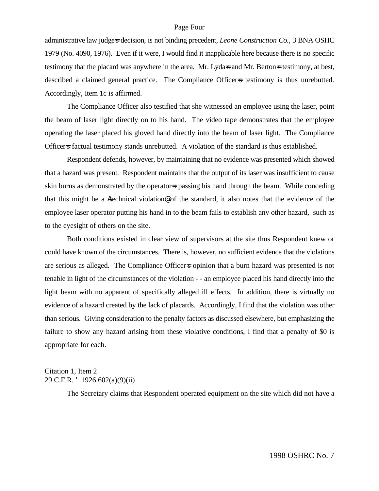#### Page Four

administrative law judges decision, is not binding precedent, *Leone Construction Co.*, 3 BNA OSHC 1979 (No. 4090, 1976). Even if it were, I would find it inapplicable here because there is no specific testimony that the placard was anywhere in the area. Mr. Lydas and Mr. Bertons testimony, at best, described a claimed general practice. The Compliance Officers testimony is thus unrebutted. Accordingly, Item 1c is affirmed.

The Compliance Officer also testified that she witnessed an employee using the laser, point the beam of laser light directly on to his hand. The video tape demonstrates that the employee operating the laser placed his gloved hand directly into the beam of laser light. The Compliance Officer-s factual testimony stands unrebutted. A violation of the standard is thus established.

Respondent defends, however, by maintaining that no evidence was presented which showed that a hazard was present. Respondent maintains that the output of its laser was insufficient to cause skin burns as demonstrated by the operator=s passing his hand through the beam. While conceding that this might be a Atechnical violation@ of the standard, it also notes that the evidence of the employee laser operator putting his hand in to the beam fails to establish any other hazard, such as to the eyesight of others on the site.

Both conditions existed in clear view of supervisors at the site thus Respondent knew or could have known of the circumstances. There is, however, no sufficient evidence that the violations are serious as alleged. The Compliance Officer=s opinion that a burn hazard was presented is not tenable in light of the circumstances of the violation - - an employee placed his hand directly into the light beam with no apparent of specifically alleged ill effects. In addition, there is virtually no evidence of a hazard created by the lack of placards. Accordingly, I find that the violation was other than serious. Giving consideration to the penalty factors as discussed elsewhere, but emphasizing the failure to show any hazard arising from these violative conditions, I find that a penalty of \$0 is appropriate for each.

## Citation 1, Item 2 29 C.F.R. ' 1926.602(a)(9)(ii)

The Secretary claims that Respondent operated equipment on the site which did not have a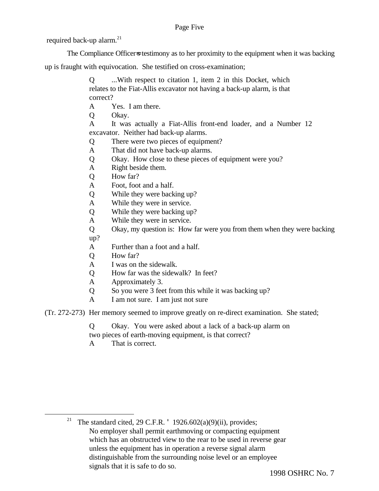Page Five

required back-up alarm. $^{21}$ 

The Compliance Officer=s testimony as to her proximity to the equipment when it was backing

up is fraught with equivocation. She testified on cross-examination;

Q ...With respect to citation 1, item 2 in this Docket, which relates to the Fiat-Allis excavator not having a back-up alarm, is that correct?

- A Yes. I am there.
- Q Okay.

A It was actually a Fiat-Allis front-end loader, and a Number 12 excavator. Neither had back-up alarms.

- Q There were two pieces of equipment?
- A That did not have back-up alarms.
- Q Okay. How close to these pieces of equipment were you?
- A Right beside them.
- Q How far?
- A Foot, foot and a half.
- Q While they were backing up?
- A While they were in service.
- Q While they were backing up?
- A While they were in service.
- Q Okay, my question is: How far were you from them when they were backing up?
- A Further than a foot and a half.
- Q How far?
- A I was on the sidewalk.
- Q How far was the sidewalk? In feet?
- A Approximately 3.
- Q So you were 3 feet from this while it was backing up?
- A I am not sure. I am just not sure

(Tr. 272-273) Her memory seemed to improve greatly on re-direct examination. She stated;

Q Okay. You were asked about a lack of a back-up alarm on

two pieces of earth-moving equipment, is that correct?

A That is correct.

<u>.</u>

<sup>&</sup>lt;sup>21</sup> The standard cited, 29 C.F.R. ' 1926.602(a)(9)(ii), provides; No employer shall permit earthmoving or compacting equipment which has an obstructed view to the rear to be used in reverse gear unless the equipment has in operation a reverse signal alarm distinguishable from the surrounding noise level or an employee signals that it is safe to do so.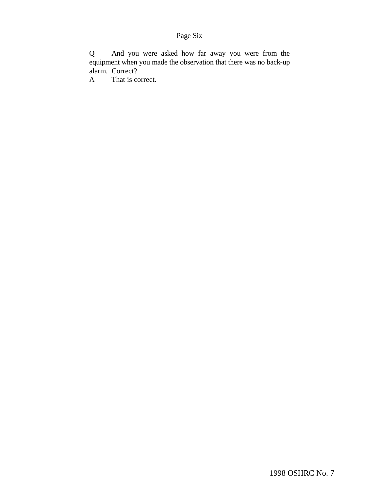# Page Six

Q And you were asked how far away you were from the equipment when you made the observation that there was no back-up alarm. Correct?

A That is correct.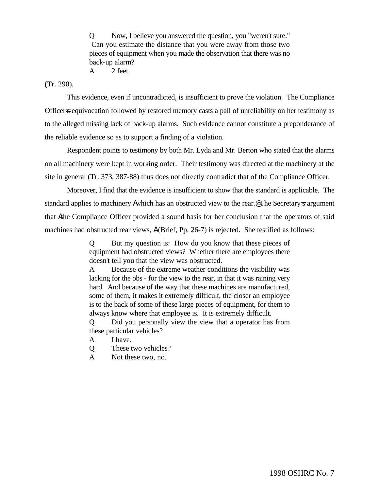Q Now, I believe you answered the question, you "weren't sure." Can you estimate the distance that you were away from those two pieces of equipment when you made the observation that there was no back-up alarm?

A 2 feet.

(Tr. 290).

This evidence, even if uncontradicted, is insufficient to prove the violation. The Compliance Officers equivocation followed by restored memory casts a pall of unreliability on her testimony as to the alleged missing lack of back-up alarms. Such evidence cannot constitute a preponderance of the reliable evidence so as to support a finding of a violation.

Respondent points to testimony by both Mr. Lyda and Mr. Berton who stated that the alarms on all machinery were kept in working order. Their testimony was directed at the machinery at the site in general (Tr. 373, 387-88) thus does not directly contradict that of the Compliance Officer.

Moreover, I find that the evidence is insufficient to show that the standard is applicable. The standard applies to machinery Awhich has an obstructed view to the rear.@ The Secretary=s argument that Athe Compliance Officer provided a sound basis for her conclusion that the operators of said machines had obstructed rear views,  $A$  (Brief, Pp. 26-7) is rejected. She testified as follows:

> Q But my question is: How do you know that these pieces of equipment had obstructed views? Whether there are employees there doesn't tell you that the view was obstructed.

> A Because of the extreme weather conditions the visibility was lacking for the obs - for the view to the rear, in that it was raining very hard. And because of the way that these machines are manufactured, some of them, it makes it extremely difficult, the closer an employee is to the back of some of these large pieces of equipment, for them to always know where that employee is. It is extremely difficult.

> Q Did you personally view the view that a operator has from these particular vehicles?

- A I have.
- Q These two vehicles?
- A Not these two, no.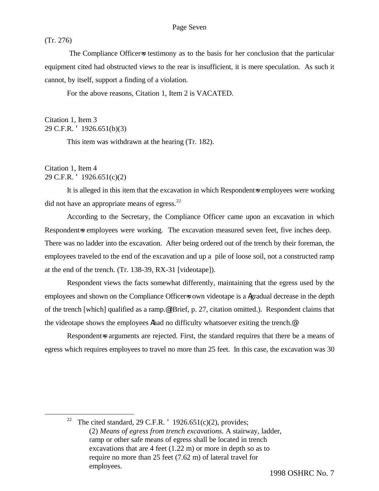(Tr. 276)

The Compliance Officers testimony as to the basis for her conclusion that the particular equipment cited had obstructed views to the rear is insufficient, it is mere speculation. As such it cannot, by itself, support a finding of a violation.

For the above reasons, Citation 1, Item 2 is VACATED.

Citation 1, Item 3 29 C.F.R. ' 1926.651(b)(3)

This item was withdrawn at the hearing (Tr. 182).

## Citation 1, Item 4 29 C.F.R. ' 1926.651(c)(2)

<u>.</u>

It is alleged in this item that the excavation in which Respondent-s employees were working did not have an appropriate means of egress. $^{22}$ 

According to the Secretary, the Compliance Officer came upon an excavation in which Respondent=s employees were working. The excavation measured seven feet, five inches deep. There was no ladder into the excavation. After being ordered out of the trench by their foreman, the employees traveled to the end of the excavation and up a pile of loose soil, not a constructed ramp at the end of the trench. (Tr. 138-39, RX-31 [videotape]).

Respondent views the facts somewhat differently, maintaining that the egress used by the employees and shown on the Compliance Officers own videotape is a Agradual decrease in the depth of the trench [which] qualified as a ramp.@ (Brief, p. 27, citation omitted.). Respondent claims that the videotape shows the employees Ahad no difficulty whatsoever exiting the trench.@

Respondent=s arguments are rejected. First, the standard requires that there be a means of egress which requires employees to travel no more than 25 feet. In this case, the excavation was 30

<sup>&</sup>lt;sup>22</sup> The cited standard, 29 C.F.R.  $'$  1926.651(c)(2), provides; (2) *Means of egress from trench excavations*. A stairway, ladder, ramp or other safe means of egress shall be located in trench excavations that are 4 feet (1.22 m) or more in depth so as to require no more than 25 feet (7.62 m) of lateral travel for employees.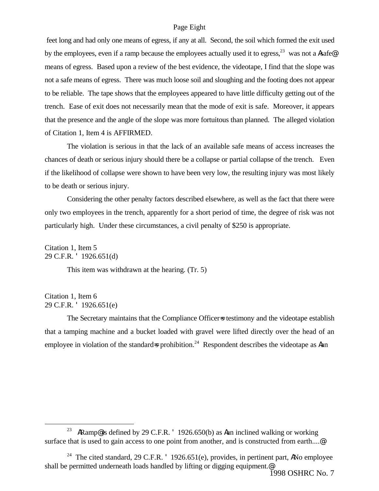#### Page Eight

 feet long and had only one means of egress, if any at all. Second, the soil which formed the exit used by the employees, even if a ramp because the employees actually used it to egress,  $^{23}$  was not a Asafe means of egress. Based upon a review of the best evidence, the videotape, I find that the slope was not a safe means of egress. There was much loose soil and sloughing and the footing does not appear to be reliable. The tape shows that the employees appeared to have little difficulty getting out of the trench. Ease of exit does not necessarily mean that the mode of exit is safe. Moreover, it appears that the presence and the angle of the slope was more fortuitous than planned. The alleged violation of Citation 1, Item 4 is AFFIRMED.

The violation is serious in that the lack of an available safe means of access increases the chances of death or serious injury should there be a collapse or partial collapse of the trench. Even if the likelihood of collapse were shown to have been very low, the resulting injury was most likely to be death or serious injury.

Considering the other penalty factors described elsewhere, as well as the fact that there were only two employees in the trench, apparently for a short period of time, the degree of risk was not particularly high. Under these circumstances, a civil penalty of \$250 is appropriate.

Citation 1, Item 5 29 C.F.R. ' 1926.651(d)

This item was withdrawn at the hearing. (Tr. 5)

Citation 1, Item 6 29 C.F.R. ' 1926.651(e)

1

The Secretary maintains that the Compliance Officers testimony and the videotape establish that a tamping machine and a bucket loaded with gravel were lifted directly over the head of an employee in violation of the standard=s prohibition.<sup>24</sup> Respondent describes the videotape as Aan

<sup>&</sup>lt;sup>23</sup> ARamp@ is defined by 29 C.F.R. '1926.650(b) as Aan inclined walking or working surface that is used to gain access to one point from another, and is constructed from earth....@

<sup>&</sup>lt;sup>24</sup> The cited standard, 29 C.F.R.  $'$  1926.651(e), provides, in pertinent part, ANo employee shall be permitted underneath loads handled by lifting or digging equipment.<sup>@</sup>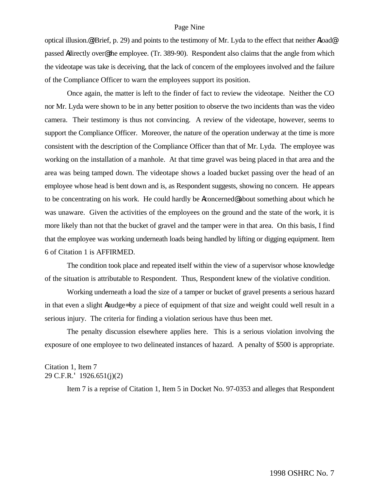#### Page Nine

optical illusion.@ (Brief, p. 29) and points to the testimony of Mr. Lyda to the effect that neither Aload@ passed Adirectly over@ the employee. (Tr. 389-90). Respondent also claims that the angle from which the videotape was take is deceiving, that the lack of concern of the employees involved and the failure of the Compliance Officer to warn the employees support its position.

Once again, the matter is left to the finder of fact to review the videotape. Neither the CO nor Mr. Lyda were shown to be in any better position to observe the two incidents than was the video camera. Their testimony is thus not convincing. A review of the videotape, however, seems to support the Compliance Officer. Moreover, the nature of the operation underway at the time is more consistent with the description of the Compliance Officer than that of Mr. Lyda. The employee was working on the installation of a manhole. At that time gravel was being placed in that area and the area was being tamped down. The videotape shows a loaded bucket passing over the head of an employee whose head is bent down and is, as Respondent suggests, showing no concern. He appears to be concentrating on his work. He could hardly be Aconcerned@ about something about which he was unaware. Given the activities of the employees on the ground and the state of the work, it is more likely than not that the bucket of gravel and the tamper were in that area. On this basis, I find that the employee was working underneath loads being handled by lifting or digging equipment. Item 6 of Citation 1 is AFFIRMED.

The condition took place and repeated itself within the view of a supervisor whose knowledge of the situation is attributable to Respondent. Thus, Respondent knew of the violative condition.

Working underneath a load the size of a tamper or bucket of gravel presents a serious hazard in that even a slight Anudge= by a piece of equipment of that size and weight could well result in a serious injury. The criteria for finding a violation serious have thus been met.

The penalty discussion elsewhere applies here. This is a serious violation involving the exposure of one employee to two delineated instances of hazard. A penalty of \$500 is appropriate.

#### Citation 1, Item 7 29 C.F.R.' 1926.651(j)(2)

Item 7 is a reprise of Citation 1, Item 5 in Docket No. 97-0353 and alleges that Respondent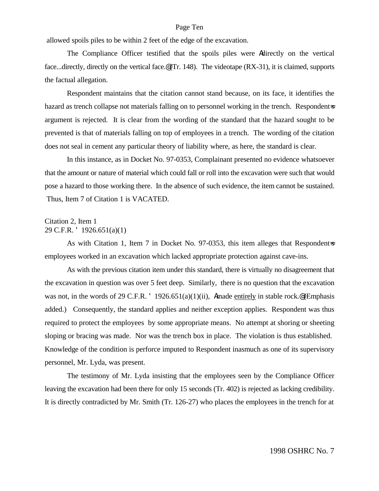#### Page Ten

allowed spoils piles to be within 2 feet of the edge of the excavation.

The Compliance Officer testified that the spoils piles were Adirectly on the vertical face...directly, directly on the vertical face.@ (Tr. 148). The videotape (RX-31), it is claimed, supports the factual allegation.

Respondent maintains that the citation cannot stand because, on its face, it identifies the hazard as trench collapse not materials falling on to personnel working in the trench. Respondents argument is rejected. It is clear from the wording of the standard that the hazard sought to be prevented is that of materials falling on top of employees in a trench. The wording of the citation does not seal in cement any particular theory of liability where, as here, the standard is clear.

In this instance, as in Docket No. 97-0353, Complainant presented no evidence whatsoever that the amount or nature of material which could fall or roll into the excavation were such that would pose a hazard to those working there. In the absence of such evidence, the item cannot be sustained. Thus, Item 7 of Citation 1 is VACATED.

## Citation 2, Item 1 29 C.F.R. ' 1926.651(a)(1)

As with Citation 1, Item 7 in Docket No. 97-0353, this item alleges that Respondent=s employees worked in an excavation which lacked appropriate protection against cave-ins.

As with the previous citation item under this standard, there is virtually no disagreement that the excavation in question was over 5 feet deep. Similarly, there is no question that the excavation was not, in the words of 29 C.F.R. ' 1926.651(a)(1)(ii), Amade entirely in stable rock. (Emphasis added.) Consequently, the standard applies and neither exception applies. Respondent was thus required to protect the employees by some appropriate means. No attempt at shoring or sheeting sloping or bracing was made. Nor was the trench box in place. The violation is thus established. Knowledge of the condition is perforce imputed to Respondent inasmuch as one of its supervisory personnel, Mr. Lyda, was present.

The testimony of Mr. Lyda insisting that the employees seen by the Compliance Officer leaving the excavation had been there for only 15 seconds (Tr. 402) is rejected as lacking credibility. It is directly contradicted by Mr. Smith (Tr. 126-27) who places the employees in the trench for at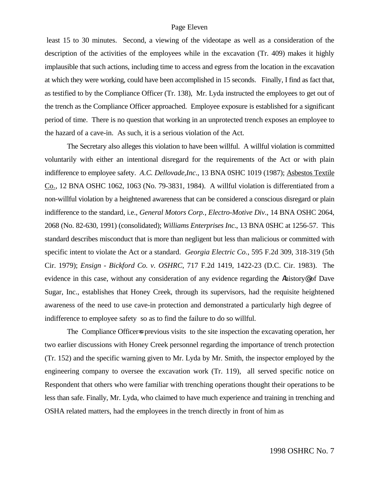#### Page Eleven

 least 15 to 30 minutes. Second, a viewing of the videotape as well as a consideration of the description of the activities of the employees while in the excavation (Tr. 409) makes it highly implausible that such actions, including time to access and egress from the location in the excavation at which they were working, could have been accomplished in 15 seconds. Finally, I find as fact that, as testified to by the Compliance Officer (Tr. 138), Mr. Lyda instructed the employees to get out of the trench as the Compliance Officer approached. Employee exposure is established for a significant period of time. There is no question that working in an unprotected trench exposes an employee to the hazard of a cave-in. As such, it is a serious violation of the Act.

The Secretary also alleges this violation to have been willful. A willful violation is committed voluntarily with either an intentional disregard for the requirements of the Act or with plain indifference to employee safety. *A.C. Dellovade,Inc*., 13 BNA 0SHC 1019 (1987); Asbestos Textile Co., 12 BNA OSHC 1062, 1063 (No. 79-3831, 1984). A willful violation is differentiated from a non-willful violation by a heightened awareness that can be considered a conscious disregard or plain indifference to the standard, i.e., *General Motors Corp., Electro-Motive Div*., 14 BNA OSHC 2064, 2068 (No. 82-630, 1991) (consolidated); *Williams Enterprises Inc*., 13 BNA 0SHC at 1256-57. This standard describes misconduct that is more than negligent but less than malicious or committed with specific intent to violate the Act or a standard. *Georgia Electric Co.*, 595 F.2d 309, 318-319 (5th Cir. 1979); *Ensign - Bickford Co. v. OSHRC*, 717 F.2d 1419, 1422-23 (D.C. Cir. 1983). The evidence in this case, without any consideration of any evidence regarding the Ahistory@ of Dave Sugar, Inc., establishes that Honey Creek, through its supervisors, had the requisite heightened awareness of the need to use cave-in protection and demonstrated a particularly high degree of indifference to employee safety so as to find the failure to do so willful.

The Compliance Officers previous visits to the site inspection the excavating operation, her two earlier discussions with Honey Creek personnel regarding the importance of trench protection (Tr. 152) and the specific warning given to Mr. Lyda by Mr. Smith, the inspector employed by the engineering company to oversee the excavation work (Tr. 119), all served specific notice on Respondent that others who were familiar with trenching operations thought their operations to be less than safe. Finally, Mr. Lyda, who claimed to have much experience and training in trenching and OSHA related matters, had the employees in the trench directly in front of him as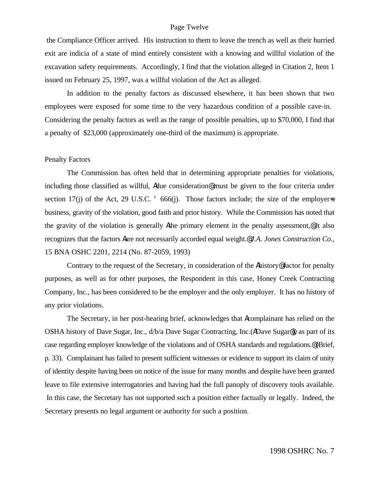#### Page Twelve

 the Compliance Officer arrived. His instruction to them to leave the trench as well as their hurried exit are indicia of a state of mind entirely consistent with a knowing and willful violation of the excavation safety requirements. Accordingly, I find that the violation alleged in Citation 2, Item 1 issued on February 25, 1997, was a willful violation of the Act as alleged.

In addition to the penalty factors as discussed elsewhere, it has been shown that two employees were exposed for some time to the very hazardous condition of a possible cave-in. Considering the penalty factors as well as the range of possible penalties, up to \$70,000, I find that a penalty of \$23,000 (approximately one-third of the maximum) is appropriate.

#### Penalty Factors

The Commission has often held that in determining appropriate penalties for violations, including those classified as willful, Adue consideration@ must be given to the four criteria under section 17(j) of the Act, 29 U.S.C.  $\overline{666}$  666(j). Those factors include; the size of the employers business, gravity of the violation, good faith and prior history. While the Commission has noted that the gravity of the violation is generally Athe primary element in the penalty assessment,@ it also recognizes that the factors Aare not necessarily accorded equal weight.@ *J.A. Jones Construction Co.,* 15 BNA OSHC 2201, 2214 (No. 87-2059, 1993)

Contrary to the request of the Secretary, in consideration of the Ahistory@ factor for penalty purposes, as well as for other purposes, the Respondent in this case, Honey Creek Contracting Company, Inc., has been considered to be the employer and the only employer. It has no history of any prior violations.

The Secretary, in her post-hearing brief, acknowledges that Acomplainant has relied on the OSHA history of Dave Sugar, Inc., d/b/a Dave Sugar Contracting, Inc.(ADave Sugar@), as part of its case regarding employer knowledge of the violations and of OSHA standards and regulations.@ (Brief, p. 33). Complainant has failed to present sufficient witnesses or evidence to support its claim of unity of identity despite having been on notice of the issue for many months and despite have been granted leave to file extensive interrogatories and having had the full panoply of discovery tools available. In this case, the Secretary has not supported such a position either factually or legally. Indeed, the Secretary presents no legal argument or authority for such a position.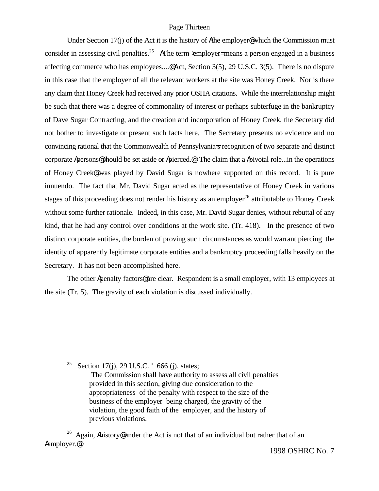#### Page Thirteen

Under Section 17(j) of the Act it is the history of Athe employer@ which the Commission must consider in assessing civil penalties.<sup>25</sup> AThe term xemployer= means a person engaged in a business affecting commerce who has employees....@ Act, Section 3(5), 29 U.S.C. 3(5). There is no dispute in this case that the employer of all the relevant workers at the site was Honey Creek. Nor is there any claim that Honey Creek had received any prior OSHA citations. While the interrelationship might be such that there was a degree of commonality of interest or perhaps subterfuge in the bankruptcy of Dave Sugar Contracting, and the creation and incorporation of Honey Creek, the Secretary did not bother to investigate or present such facts here. The Secretary presents no evidence and no convincing rational that the Commonwealth of Pennsylvania=s recognition of two separate and distinct corporate Apersons@ should be set aside or Apierced.@ The claim that a Apivotal role...in the operations of Honey Creek@ was played by David Sugar is nowhere supported on this record. It is pure innuendo. The fact that Mr. David Sugar acted as the representative of Honey Creek in various stages of this proceeding does not render his history as an employer<sup>26</sup> attributable to Honey Creek without some further rationale. Indeed, in this case, Mr. David Sugar denies, without rebuttal of any kind, that he had any control over conditions at the work site. (Tr. 418). In the presence of two distinct corporate entities, the burden of proving such circumstances as would warrant piercing the identity of apparently legitimate corporate entities and a bankruptcy proceeding falls heavily on the Secretary. It has not been accomplished here.

The other Apenalty factors@ are clear. Respondent is a small employer, with 13 employees at the site (Tr. 5). The gravity of each violation is discussed individually.

<sup>25</sup> Section 17(j), 29 U.S.C.  $\degree$  666 (j), states;

1

<sup>26</sup> Again, Ahistory@ under the Act is not that of an individual but rather that of an Aemployer.@

The Commission shall have authority to assess all civil penalties provided in this section, giving due consideration to the appropriateness of the penalty with respect to the size of the business of the employer being charged, the gravity of the violation, the good faith of the employer, and the history of previous violations.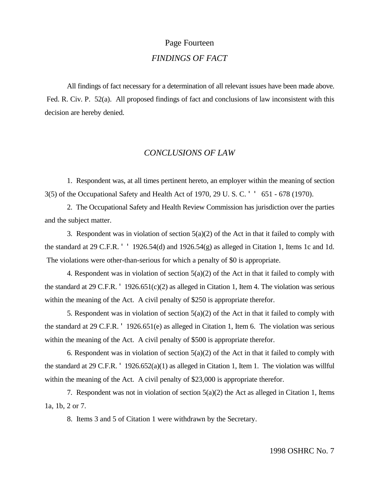# Page Fourteen *FINDINGS OF FACT*

All findings of fact necessary for a determination of all relevant issues have been made above. Fed. R. Civ. P. 52(a). All proposed findings of fact and conclusions of law inconsistent with this decision are hereby denied.

## *CONCLUSIONS OF LAW*

1. Respondent was, at all times pertinent hereto, an employer within the meaning of section 3(5) of the Occupational Safety and Health Act of 1970, 29 U. S. C. ' ' 651 - 678 (1970).

2. The Occupational Safety and Health Review Commission has jurisdiction over the parties and the subject matter.

3. Respondent was in violation of section  $5(a)(2)$  of the Act in that it failed to comply with the standard at 29 C.F.R.  $'$  ' 1926.54(d) and 1926.54(g) as alleged in Citation 1, Items 1c and 1d. The violations were other-than-serious for which a penalty of \$0 is appropriate.

4. Respondent was in violation of section 5(a)(2) of the Act in that it failed to comply with the standard at 29 C.F.R. ' 1926.651(c)(2) as alleged in Citation 1, Item 4. The violation was serious within the meaning of the Act. A civil penalty of \$250 is appropriate therefor.

5. Respondent was in violation of section  $5(a)(2)$  of the Act in that it failed to comply with the standard at 29 C.F.R. ' 1926.651(e) as alleged in Citation 1, Item 6. The violation was serious within the meaning of the Act. A civil penalty of \$500 is appropriate therefor.

6. Respondent was in violation of section  $5(a)(2)$  of the Act in that it failed to comply with the standard at 29 C.F.R. ' 1926.652(a)(1) as alleged in Citation 1, Item 1. The violation was willful within the meaning of the Act. A civil penalty of \$23,000 is appropriate therefor.

7. Respondent was not in violation of section  $5(a)(2)$  the Act as alleged in Citation 1, Items 1a, 1b, 2 or 7.

8. Items 3 and 5 of Citation 1 were withdrawn by the Secretary.